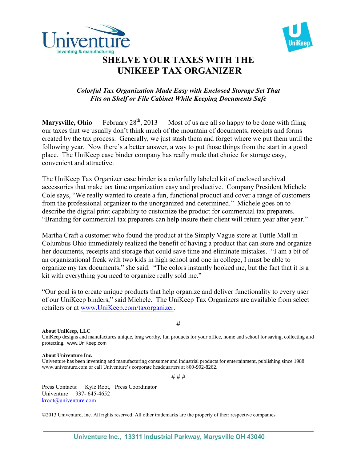



## **SHELVE YOUR TAXES WITH THE UNIKEEP TAX ORGANIZER**

## *Colorful Tax Organization Made Easy with Enclosed Storage Set That Fits on Shelf or File Cabinet While Keeping Documents Safe*

**Marysville, Ohio** — February  $28<sup>th</sup>$ ,  $2013$  — Most of us are all so happy to be done with filing our taxes that we usually don't think much of the mountain of documents, receipts and forms created by the tax process. Generally, we just stash them and forget where we put them until the following year. Now there's a better answer, a way to put those things from the start in a good place. The UniKeep case binder company has really made that choice for storage easy, convenient and attractive.

The UniKeep Tax Organizer case binder is a colorfully labeled kit of enclosed archival accessories that make tax time organization easy and productive. Company President Michele Cole says, "We really wanted to create a fun, functional product and cover a range of customers from the professional organizer to the unorganized and determined." Michele goes on to describe the digital print capability to customize the product for commercial tax preparers. "Branding for commercial tax preparers can help insure their client will return year after year."

Martha Craft a customer who found the product at the Simply Vague store at Tuttle Mall in Columbus Ohio immediately realized the benefit of having a product that can store and organize her documents, receipts and storage that could save time and eliminate mistakes. "I am a bit of an organizational freak with two kids in high school and one in college, I must be able to organize my tax documents," she said. "The colors instantly hooked me, but the fact that it is a kit with everything you need to organize really sold me."

"Our goal is to create unique products that help organize and deliver functionality to every user of our UniKeep binders," said Michele. The UniKeep Tax Organizers are available from select retailers or at [www.UniKeep.com/taxorganizer.](http://www.unikeep.com/taxorganizer)

**About UniKeep, LLC**

#

UniKeep designs and manufactures unique, brag worthy, fun products for your office, home and school for saving, collecting and protecting. www.UniKeep.com

## **About Univenture Inc.**

Univenture has been inventing and manufacturing consumer and industrial products for entertainment, publishing since 1988. www.univenture.com or call Univenture's corporate headquarters at 800-992-8262.

# # #

Press Contacts: Kyle Root, Press Coordinator Univenture 937- 645-4652 [kroot@univenture.com](mailto:kroot@univenture.com)

©2013 Univenture, Inc. All rights reserved. All other trademarks are the property of their respective companies.